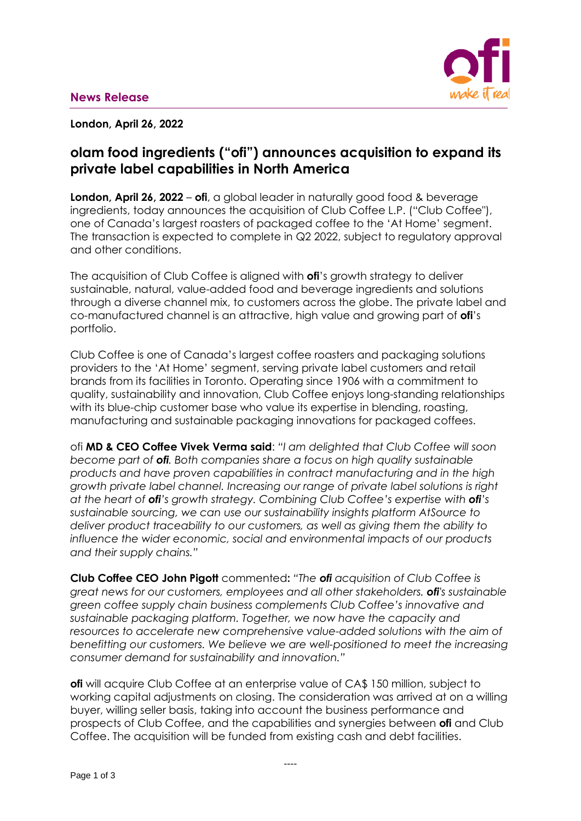

**London, April 26, 2022**

# **olam food ingredients ("ofi") announces acquisition to expand its private label capabilities in North America**

**London, April 26, 2022** – **ofi**, a global leader in naturally good food & beverage ingredients, today announces the acquisition of Club Coffee L.P. ("Club Coffee"), one of Canada's largest roasters of packaged coffee to the 'At Home' segment. The transaction is expected to complete in Q2 2022, subject to regulatory approval and other conditions.

The acquisition of Club Coffee is aligned with **ofi**'s growth strategy to deliver sustainable, natural, value-added food and beverage ingredients and solutions through a diverse channel mix, to customers across the globe. The private label and co-manufactured channel is an attractive, high value and growing part of **ofi**'s portfolio.

Club Coffee is one of Canada's largest coffee roasters and packaging solutions providers to the 'At Home' segment, serving private label customers and retail brands from its facilities in Toronto. Operating since 1906 with a commitment to quality, sustainability and innovation, Club Coffee enjoys long-standing relationships with its blue-chip customer base who value its expertise in blending, roasting, manufacturing and sustainable packaging innovations for packaged coffees.

ofi **MD & CEO Coffee Vivek Verma said**: *"I am delighted that Club Coffee will soon become part of ofi. Both companies share a focus on high quality sustainable products and have proven capabilities in contract manufacturing and in the high growth private label channel. Increasing our range of private label solutions is right at the heart of ofi's growth strategy. Combining Club Coffee's expertise with ofi's sustainable sourcing, we can use our sustainability insights platform AtSource to deliver product traceability to our customers, as well as giving them the ability to influence the wider economic, social and environmental impacts of our products and their supply chains."*

**Club Coffee CEO John Pigott** commented**:** *"The ofi acquisition of Club Coffee is great news for our customers, employees and all other stakeholders. ofi's sustainable green coffee supply chain business complements Club Coffee's innovative and sustainable packaging platform. Together, we now have the capacity and resources to accelerate new comprehensive value-added solutions with the aim of benefitting our customers. We believe we are well-positioned to meet the increasing consumer demand for sustainability and innovation."*

**ofi** will acquire Club Coffee at an enterprise value of CA\$ 150 million, subject to working capital adjustments on closing. The consideration was arrived at on a willing buyer, willing seller basis, taking into account the business performance and prospects of Club Coffee, and the capabilities and synergies between **ofi** and Club Coffee. The acquisition will be funded from existing cash and debt facilities.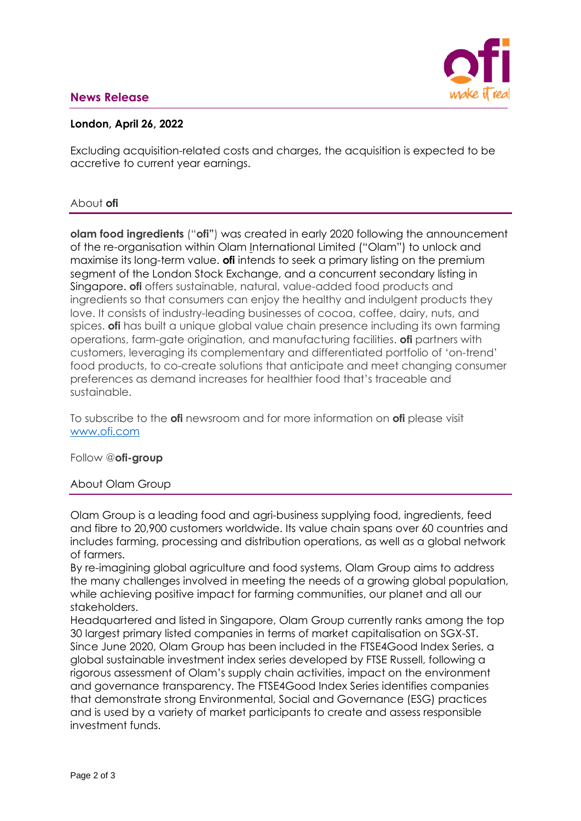# **News Release**



## **London, April 26, 2022**

Excluding acquisition-related costs and charges, the acquisition is expected to be accretive to current year earnings.

#### About **ofi**

**olam food ingredients** ("**ofi"**) was created in early 2020 following the announcement of the re-organisation within Olam International Limited ("Olam") to unlock and maximise its long-term value. **ofi** intends to seek a primary listing on the premium segment of the London Stock Exchange, and a concurrent secondary listing in Singapore. **ofi** offers sustainable, natural, value-added food products and ingredients so that consumers can enjoy the healthy and indulgent products they love. It consists of industry-leading businesses of cocoa, coffee, dairy, nuts, and spices. **ofi** has built a unique global value chain presence including its own farming operations, farm-gate origination, and manufacturing facilities. **ofi** partners with customers, leveraging its complementary and differentiated portfolio of 'on-trend' food products, to co-create solutions that anticipate and meet changing consumer preferences as demand increases for healthier food that's traceable and sustainable.

To subscribe to the **ofi** newsroom and for more information on **ofi** please visit [www.ofi.com](http://www.ofi.com/)

Follow @**ofi-group**

#### About Olam Group

Olam Group is a leading food and agri-business supplying food, ingredients, feed and fibre to 20,900 customers worldwide. Its value chain spans over 60 countries and includes farming, processing and distribution operations, as well as a global network of farmers.

By re-imagining global agriculture and food systems, Olam Group aims to address the many challenges involved in meeting the needs of a growing global population, while achieving positive impact for farming communities, our planet and all our stakeholders.

Headquartered and listed in Singapore, Olam Group currently ranks among the top 30 largest primary listed companies in terms of market capitalisation on SGX-ST. Since June 2020, Olam Group has been included in the FTSE4Good Index Series, a global sustainable investment index series developed by FTSE Russell, following a rigorous assessment of Olam's supply chain activities, impact on the environment and governance transparency. The FTSE4Good Index Series identifies companies that demonstrate strong Environmental, Social and Governance (ESG) practices and is used by a variety of market participants to create and assess responsible investment funds.